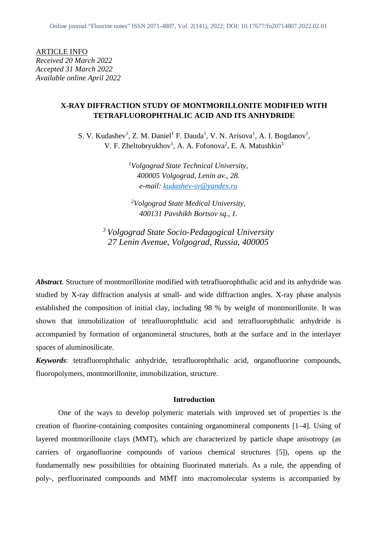ARTICLE INFO *Received 20 March 2022 Accepted 31 March 2022 Available online April 2022*

# **X-RAY DIFFRACTION STUDY OF MONTMORILLONITE MODIFIED WITH TETRAFLUOROPHTHALIC ACID AND ITS ANHYDRIDE**

S. V. Kudashev<sup>1</sup>, Z. M. Daniel<sup>1</sup> F. Dauda<sup>1</sup>, V. N. Arisova<sup>1</sup>, A. I. Bogdanov<sup>1</sup>, V. F. Zheltobryukhov<sup>1</sup>, A. A. Fofonova<sup>2</sup>, E. A. Matushkin<sup>3</sup>

> *<sup>1</sup>Volgograd State Technical University, 400005 Volgograd, Lenin av., 28. e-mail: kudashev-sv@yandex.ru*

*<sup>2</sup>Volgograd State Medical University, 400131 Pavshikh Bortsov sq., 1.*

*<sup>3</sup> Volgograd State Socio-Pedagogical University 27 Lenin Avenue, Volgograd, Russia, 400005*

*Abstract*. Structure of montmorillonite modified with tetrafluorophthalic acid and its anhydride was studied by X-ray diffraction analysis at small- and wide diffraction angles. X-ray phase analysis established the composition of initial clay, including 98 % by weight of montmorillonite. It was shown that immobilization of tetrafluorophthalic acid and tetrafluorophthalic anhydride is accompanied by formation of organomineral structures, both at the surface and in the interlayer spaces of aluminosilicate.

*Keywords*: tetrafluorophthalic anhydride, tetrafluorophthalic acid, organofluorine compounds, fluoropolymers, montmorillonite, immobilization, structure.

### **Introduction**

One of the ways to develop polymeric materials with improved set of properties is the creation of fluorine-containing composites containing organomineral components [1–4]. Using of layered montmorillonite clays (MMT), which are characterized by particle shape anisotropy (as carriers of organofluorine compounds of various chemical structures [5]), opens up the fundamentally new possibilities for obtaining fluorinated materials. As a rule, the appending of poly-, perfluorinated compounds and MMT into macromolecular systems is accompanied by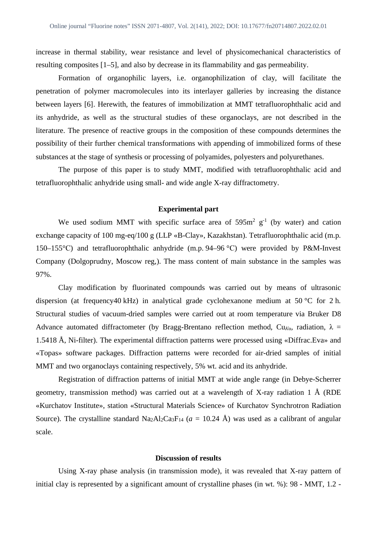increase in thermal stability, wear resistance and level of physicomechanical characteristics of resulting composites [1–5], and also by decrease in its flammability and gas permeability.

Formation of organophilic layers, i.e. organophilization of clay, will facilitate the penetration of polymer macromolecules into its interlayer galleries by increasing the distance between layers [6]. Herewith, the features of immobilization at MMT tetrafluorophthalic acid and its anhydride, as well as the structural studies of these organoclays, are not described in the literature. The presence of reactive groups in the composition of these compounds determines the possibility of their further chemical transformations with appending of immobilized forms of these substances at the stage of synthesis or processing of polyamides, polyesters and polyurethanes.

The purpose of this paper is to study MMТ, modified with tetrafluorophthalic acid and tetrafluorophthalic anhydride using small- and wide angle X-ray diffractometry.

#### **Experimental part**

We used sodium MMT with specific surface area of  $595m^2$  g<sup>-1</sup> (by water) and cation exchange capacity of 100 mg-eq/100 g (LLP «B-Clay», Kazakhstan). Tetrafluorophthalic acid (m.p. 150–155°С) and tetrafluorophthalic anhydride (m.p. 94–96 °С) were provided by P&M-Invest Company (Dolgoprudny, Moscow reg,). The mass content of main substance in the samples was 97%.

Clay modification by fluorinated compounds was carried out by means of ultrasonic dispersion (at frequency40 kHz) in analytical grade cyclohexanone medium at 50 °C for 2 h. Structural studies of vacuum-dried samples were carried out at room temperature via Bruker D8 Advance automated diffractometer (by Bragg-Brentano reflection method, Cu<sub>Ka</sub>, radiation,  $\lambda$  = 1.5418 Å, Ni-filter). The experimental diffraction patterns were processed using «Diffrac.Eva» and «Topas» software packages. Diffraction patterns were recorded for air-dried samples of initial MMT and two organoclays containing respectively, 5% wt. acid and its anhydride.

Registration of diffraction patterns of initial MMT at wide angle range (in Debye-Scherrer geometry, transmission method) was carried out at a wavelength of X-ray radiation 1  $\AA$  (RDE «Kurchatov Institute», station «Structural Materials Science» of Kurchatov Synchrotron Radiation Source). The crystalline standard Na<sub>2</sub>Al<sub>2</sub>Ca<sub>3</sub>F<sub>14</sub> ( $a = 10.24$  Å) was used as a calibrant of angular scale.

## **Discussion of results**

Using X-ray phase analysis (in transmission mode), it was revealed that X-ray pattern of initial clay is represented by a significant amount of crystalline phases (in wt. %): 98 - ММT, 1.2 -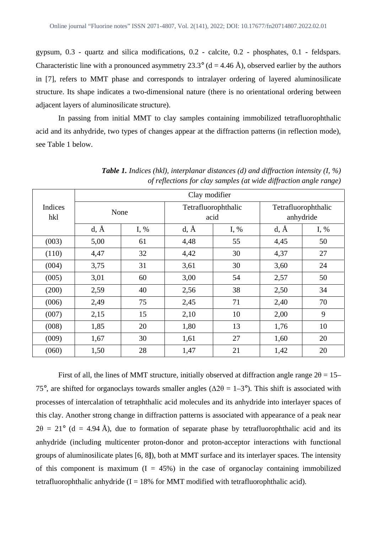gypsum, 0.3 - quartz and silica modifications, 0.2 - calcite, 0.2 - phosphates, 0.1 - feldspars. Characteristic line with a pronounced asymmetry 23.3° ( $d = 4.46$  Å), observed earlier by the authors in [7], refers to MMT phase and corresponds to intralayer ordering of layered aluminosilicate structure. Its shape indicates a two-dimensional nature (there is no orientational ordering between adjacent layers of aluminosilicate structure).

In passing from initial MMT to clay samples containing immobilized tetrafluorophthalic acid and its anhydride, two types of changes appear at the diffraction patterns (in reflection mode), see Table 1 below.

|                | Clay modifier |      |                             |        |                                  |      |
|----------------|---------------|------|-----------------------------|--------|----------------------------------|------|
| Indices<br>hkl | None          |      | Tetrafluorophthalic<br>acid |        | Tetrafluorophthalic<br>anhydride |      |
|                | $d, \AA$      | I, % | $d, \AA$                    | I, $%$ | $d, \AA$                         | I, % |
| (003)          | 5,00          | 61   | 4,48                        | 55     | 4,45                             | 50   |
| (110)          | 4,47          | 32   | 4,42                        | 30     | 4,37                             | 27   |
| (004)          | 3,75          | 31   | 3,61                        | 30     | 3,60                             | 24   |
| (005)          | 3,01          | 60   | 3,00                        | 54     | 2,57                             | 50   |
| (200)          | 2,59          | 40   | 2,56                        | 38     | 2,50                             | 34   |
| (006)          | 2,49          | 75   | 2,45                        | 71     | 2,40                             | 70   |
| (007)          | 2,15          | 15   | 2,10                        | 10     | 2,00                             | 9    |
| (008)          | 1,85          | 20   | 1,80                        | 13     | 1,76                             | 10   |
| (009)          | 1,67          | 30   | 1,61                        | 27     | 1,60                             | 20   |
| (060)          | 1,50          | 28   | 1,47                        | 21     | 1,42                             | 20   |

*Table 1. Indices (hkl), interplanar distances (d) and diffraction intensity (I, %) of reflections for clay samples (at wide diffraction angle range)*

First of all, the lines of MMT structure, initially observed at diffraction angle range  $2\theta = 15$ – 75°, are shifted for organoclays towards smaller angles ( $\Delta 2\theta = 1-3$ °). This shift is associated with processes of intercalation of tetraphthalic acid molecules and its anhydride into interlayer spaces of this clay. Another strong change in diffraction patterns is associated with appearance of a peak near  $2\theta = 21^{\circ}$  (d = 4.94 Å), due to formation of separate phase by tetrafluorophthalic acid and its anhydride (including multicenter proton-donor and proton-acceptor interactions with functional groups of aluminosilicate plates [6, 8**]**), both at MMT surface and its interlayer spaces. The intensity of this component is maximum  $(I = 45\%)$  in the case of organoclay containing immobilized tetrafluorophthalic anhydride  $(I = 18\%$  for MMT modified with tetrafluorophthalic acid).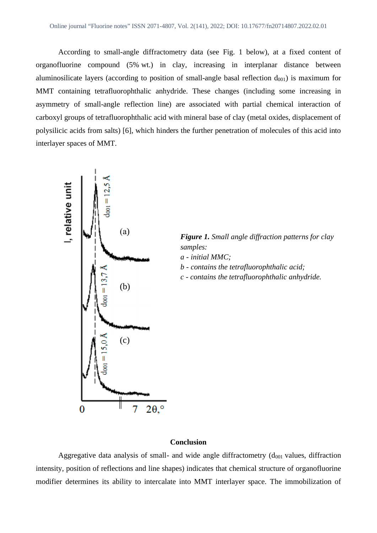According to small-angle diffractometry data (see Fig. 1 below), at a fixed content of organofluorine compound (5% wt.) in clay, increasing in interplanar distance between aluminosilicate layers (according to position of small-angle basal reflection  $d_{001}$ ) is maximum for MMT containing tetrafluorophthalic anhydride. These changes (including some increasing in asymmetry of small-angle reflection line) are associated with partial chemical interaction of carboxyl groups of tetrafluorophthalic acid with mineral base of clay (metal oxides, displacement of polysilicic acids from salts) [6], which hinders the further penetration of molecules of this acid into interlayer spaces of MMT.



*Figure 1. Small angle diffraction patterns for clay*

- *b contains the tetrafluorophthalic acid;*
- *c contains the tetrafluorophthalic anhydride.*

## **Conclusion**

Aggregative data analysis of small- and wide angle diffractometry  $(d<sub>001</sub>$  values, diffraction intensity, position of reflections and line shapes) indicates that chemical structure of organofluorine modifier determines its ability to intercalate into MMT interlayer space. The immobilization of